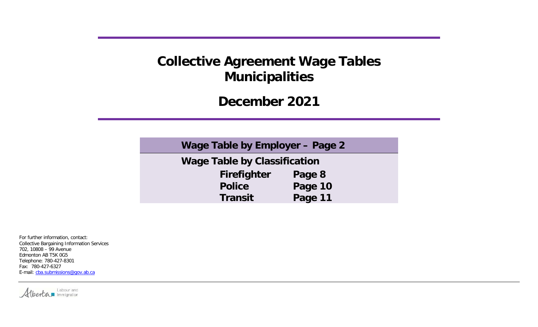**December 2021**

| Wage Table by Employer – Page 2     |         |
|-------------------------------------|---------|
| <b>Wage Table by Classification</b> |         |
| <b>Firefighter</b>                  | Page 8  |
| <b>Police</b>                       | Page 10 |
| <b>Transit</b>                      | Page 11 |

For further information, contact: Collective Bargaining Information Services 702, 10808 – 99 Avenue Edmonton AB T5K 0G5 Telephone: 780-427-8301 Fax: 780-427-6327 E-mail: [cba.submissions@gov.ab.ca](mailto:cba.submissions@gov.ab.ca)

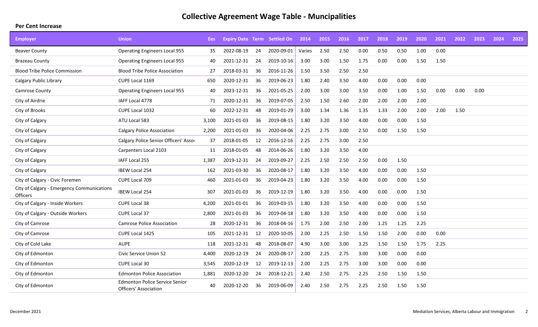| <b>Employer</b>                                        | <b>Union</b>                                                          | Ees   | <b>Expiry Date Term Settled On</b> |                 |            | 2014   | 2015 | 2016 | 2017 | 2018 | 2019 | 2020 | 2021 | 2022 | 2023 | 2024 | 2025 |
|--------------------------------------------------------|-----------------------------------------------------------------------|-------|------------------------------------|-----------------|------------|--------|------|------|------|------|------|------|------|------|------|------|------|
| <b>Beaver County</b>                                   | <b>Operating Engineers Local 955</b>                                  | 35    | 2022-08-19                         | 24              | 2020-09-01 | Varies | 2.50 | 2.50 | 0.00 | 0.50 | 0.50 | 1.00 | 0.00 |      |      |      |      |
| <b>Brazeau County</b>                                  | <b>Operating Engineers Local 955</b>                                  | 40    | 2021-12-31                         | 24              | 2019-10-16 | 3.00   | 3.00 | 1.50 | 1.75 | 0.00 | 0.00 | 1.50 | 1.50 |      |      |      |      |
| <b>Blood Tribe Police Commission</b>                   | <b>Blood Tribe Police Association</b>                                 | 27    | 2018-03-31                         | 36              | 2016-11-26 | 1.50   | 3.50 | 2.50 | 2.50 |      |      |      |      |      |      |      |      |
| Calgary Public Library                                 | CUPE Local 1169                                                       | 650   | 2020-12-31                         | 36              | 2019-06-23 | 1.80   | 2.40 | 3.50 | 4.00 | 0.00 | 0.00 | 0.00 |      |      |      |      |      |
| Camrose County                                         | <b>Operating Engineers Local 955</b>                                  | 40    | 2023-12-31                         | 36              | 2021-05-25 | 2.00   | 3.00 | 3.00 | 3.50 | 0.00 | 1.00 | 1.50 | 0.00 | 0.00 | 0.00 |      |      |
| City of Airdrie                                        | IAFF Local 4778                                                       | 71    | 2020-12-31                         | 36              | 2019-07-05 | 2.50   | 1.50 | 2.60 | 2.00 | 2.00 | 2.00 | 2.00 |      |      |      |      |      |
| City of Brooks                                         | CUPE Local 1032                                                       | 60    | 2022-12-31                         | 48              | 2019-01-29 | 3.00   | 1.34 | 1.36 | 1.35 | 1.33 | 2.00 | 2.00 | 2.00 | 1.50 |      |      |      |
| City of Calgary                                        | ATU Local 583                                                         | 3,100 | 2021-01-03                         | 36              | 2019-08-15 | 1.80   | 3.20 | 3.50 | 4.00 | 0.00 | 0.00 | 1.50 |      |      |      |      |      |
| City of Calgary                                        | <b>Calgary Police Association</b>                                     | 2,200 | 2021-01-03                         | 36              | 2020-04-06 | 2.25   | 2.75 | 3.00 | 2.50 | 0.00 | 1.50 | 1.50 |      |      |      |      |      |
| City of Calgary                                        | Calgary Police Senior Officers' Assor                                 | 37    | 2018-01-05                         | 12 <sup>1</sup> | 2016-12-16 | 2.25   | 2.75 | 3.00 | 2.50 |      |      |      |      |      |      |      |      |
| City of Calgary                                        | Carpenters Local 2103                                                 | 11    | 2018-01-05                         | 48              | 2014-06-26 | 1.80   | 3.20 | 3.50 | 4.00 |      |      |      |      |      |      |      |      |
| City of Calgary                                        | IAFF Local 255                                                        | 1,387 | 2019-12-31                         | 24              | 2019-09-27 | 2.25   | 2.50 | 2.50 | 2.50 | 0.00 | 1.50 |      |      |      |      |      |      |
| City of Calgary                                        | <b>IBEW Local 254</b>                                                 | 162   | 2021-03-30                         | 36              | 2020-08-17 | 1.80   | 3.20 | 3.50 | 4.00 | 0.00 | 0.00 | 1.50 |      |      |      |      |      |
| City of Calgary - Civic Foremen                        | CUPE Local 709                                                        | 460   | 2021-01-03                         | 36              | 2019-04-23 | 1.80   | 3.20 | 3.50 | 4.00 | 0.00 | 0.00 | 1.50 |      |      |      |      |      |
| City of Calgary - Emergency Communications<br>Officers | <b>IBEW Local 254</b>                                                 | 307   | 2021-01-03                         | 36              | 2019-12-19 | 1.80   | 3.20 | 3.50 | 4.00 | 0.00 | 0.00 | 1.50 |      |      |      |      |      |
| City of Calgary - Inside Workers                       | <b>CUPE Local 38</b>                                                  | 4,200 | 2021-01-01                         | 36              | 2019-03-15 | 1.80   | 3.20 | 3.50 | 4.00 | 0.00 | 0.00 | 1.50 |      |      |      |      |      |
| City of Calgary - Outside Workers                      | CUPE Local 37                                                         | 2,800 | 2021-01-03                         | 36              | 2019-04-18 | 1.80   | 3.20 | 3.50 | 4.00 | 0.00 | 0.00 | 1.50 |      |      |      |      |      |
| City of Camrose                                        | <b>Camrose Police Association</b>                                     | 28    | 2020-12-31                         | 36              | 2018-04-16 | 1.75   | 2.00 | 2.50 | 2.00 | 1.25 | 1.25 | 2.25 |      |      |      |      |      |
| City of Camrose                                        | CUPE Local 1425                                                       | 105   | 2021-12-31                         | 12              | 2020-10-05 | 2.00   | 2.25 | 2.50 | 1.50 | 1.50 | 2.00 | 0.00 | 0.00 |      |      |      |      |
| City of Cold Lake                                      | <b>AUPE</b>                                                           | 118   | 2021-12-31                         | 48              | 2018-08-07 | 4.90   | 3.00 | 3.00 | 3.25 | 1.50 | 1.50 | 1.75 | 2.25 |      |      |      |      |
| City of Edmonton                                       | Civic Service Union 52                                                | 4,400 | 2020-12-19                         | 24              | 2020-08-17 | 2.00   | 2.25 | 2.75 | 3.00 | 3.00 | 0.00 | 0.00 |      |      |      |      |      |
| City of Edmonton                                       | CUPE Local 30                                                         | 3,545 | 2020-12-19                         | 12              | 2019-12-13 | 2.00   | 2.25 | 2.75 | 3.00 | 3.00 | 0.00 | 0.00 |      |      |      |      |      |
| City of Edmonton                                       | <b>Edmonton Police Association</b>                                    | 1,881 | 2020-12-20                         | 24              | 2018-12-21 | 2.40   | 2.50 | 2.75 | 2.25 | 2.50 | 1.50 | 1.50 |      |      |      |      |      |
| City of Edmonton                                       | <b>Edmonton Police Service Senior</b><br><b>Officers' Association</b> | 40    | 2020-12-20                         | 36              | 2019-06-09 | 2.40   | 2.50 | 2.75 | 2.25 | 2.50 | 1.50 | 1.50 |      |      |      |      |      |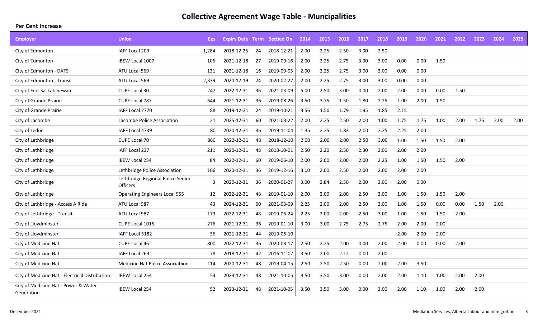| <b>Employer</b>                                    | <b>Union</b>                                         | Ees   | <b>Expiry Date Term Settled On</b> |    |            | 2014 | 2015 | 2016 | 2017 | 2018 | 2019 | 2020 | 2021 | 2022 | 2023 | 2024 | 2025 |
|----------------------------------------------------|------------------------------------------------------|-------|------------------------------------|----|------------|------|------|------|------|------|------|------|------|------|------|------|------|
| City of Edmonton                                   | IAFF Local 209                                       | 1,284 | 2018-12-25                         | 24 | 2018-12-21 | 2.00 | 2.25 | 2.50 | 3.00 | 2.50 |      |      |      |      |      |      |      |
| City of Edmonton                                   | IBEW Local 1007                                      | 106   | 2021-12-18                         | 27 | 2019-09-16 | 2.00 | 2.25 | 2.75 | 3.00 | 3.00 | 0.00 | 0.00 | 1.50 |      |      |      |      |
| City of Edmonton - DATS                            | ATU Local 569                                        | 131   | 2021-12-18                         | 16 | 2019-09-05 | 2.00 | 2.25 | 2.75 | 3.00 | 3.00 | 0.00 | 0.00 |      |      |      |      |      |
| City of Edmonton - Transit                         | ATU Local 569                                        | 2,339 | 2020-12-19                         | 24 | 2020-02-27 | 2.00 | 2.25 | 2.75 | 3.00 | 3.00 | 0.00 | 0.00 |      |      |      |      |      |
| City of Fort Saskatchewan                          | CUPE Local 30                                        | 247   | 2022-12-31                         | 36 | 2021-03-09 | 5.00 | 2.50 | 3.00 | 0.00 | 2.00 | 2.00 | 0.00 | 0.00 | 1.50 |      |      |      |
| City of Grande Prairie                             | CUPE Local 787                                       | 644   | 2021-12-31                         | 36 | 2019-08-26 | 3.50 | 3.75 | 1.50 | 1.80 | 2.25 | 1.00 | 2.00 | 1.50 |      |      |      |      |
| City of Grande Prairie                             | IAFF Local 2770                                      | 88    | 2019-12-31                         | 24 | 2019-10-21 | 3.56 | 1.50 | 1.79 | 1.95 | 1.85 | 2.15 |      |      |      |      |      |      |
| City of Lacombe                                    | Lacombe Police Association                           | 21    | 2025-12-31                         | 60 | 2021-03-22 | 2.00 | 2.25 | 2.50 | 2.00 | 1.00 | 1.75 | 1.75 | 1.00 | 2.00 | 1.75 | 2.00 | 2.00 |
| City of Leduc                                      | IAFF Local 4739                                      | 80    | 2020-12-31                         | 36 | 2019-11-04 | 1.35 | 2.35 | 1.83 | 2.00 | 2.25 | 2.25 | 2.00 |      |      |      |      |      |
| City of Lethbridge                                 | <b>CUPE Local 70</b>                                 | 860   | 2022-12-31                         | 48 | 2018-12-10 | 2.00 | 2.00 | 2.00 | 2.50 | 3.00 | 1.00 | 1.50 | 1.50 | 2.00 |      |      |      |
| City of Lethbridge                                 | IAFF Local 237                                       | 211   | 2020-12-31                         | 48 | 2018-10-01 | 2.50 | 2.20 | 2.50 | 2.30 | 2.00 | 2.00 | 2.00 |      |      |      |      |      |
| City of Lethbridge                                 | <b>IBEW Local 254</b>                                | 84    | 2022-12-31                         | 60 | 2019-06-10 | 2.00 | 2.00 | 2.00 | 2.00 | 2.25 | 1.00 | 1.50 | 1.50 | 2.00 |      |      |      |
| City of Lethbridge                                 | Lethbridge Police Association                        | 166   | 2020-12-31                         | 36 | 2019-12-16 | 3.00 | 2.00 | 2.50 | 2.00 | 2.00 | 2.00 | 2.00 |      |      |      |      |      |
| City of Lethbridge                                 | Lethbridge Regional Police Senior<br><b>Officers</b> | 3     | 2020-12-31                         | 36 | 2020-01-27 | 3.00 | 2.84 | 2.50 | 2.00 | 2.00 | 2.00 | 0.00 |      |      |      |      |      |
| City of Lethbridge                                 | <b>Operating Engineers Local 955</b>                 | 12    | 2022-12-31                         | 48 | 2019-01-10 | 2.00 | 2.00 | 2.00 | 2.50 | 3.00 | 1.00 | 1.50 | 1.50 | 2.00 |      |      |      |
| City of Lethbridge - Access A Ride                 | ATU Local 987                                        | 43    | 2024-12-31                         | 60 | 2021-03-09 | 2.25 | 2.00 | 2.00 | 2.50 | 3.00 | 1.00 | 1.50 | 0.00 | 0.00 | 1.50 | 2.00 |      |
| City of Lethbridge - Transit                       | ATU Local 987                                        | 173   | 2022-12-31                         | 48 | 2019-06-24 | 2.25 | 2.00 | 2.00 | 2.50 | 3.00 | 1.00 | 1.50 | 1.50 | 2.00 |      |      |      |
| City of Lloydminster                               | CUPE Local 1015                                      | 276   | 2021-12-31                         | 36 | 2019-01-10 | 3.00 | 3.00 | 2.75 | 2.75 | 2.75 | 2.00 | 2.00 | 2.00 |      |      |      |      |
| City of Lloydminster                               | IAFF Local 5182                                      | 36    | 2021-12-31                         | 44 | 2019-06-10 |      |      |      |      |      | 2.00 | 2.00 | 2.00 |      |      |      |      |
| City of Medicine Hat                               | CUPE Local 46                                        | 800   | 2022-12-31                         | 36 | 2020-08-17 | 2.50 | 2.25 | 2.00 | 0.00 | 2.00 | 2.00 | 0.00 | 0.00 | 2.00 |      |      |      |
| City of Medicine Hat                               | IAFF Local 263                                       | 78    | 2018-12-31                         | 42 | 2016-11-07 | 3.50 | 2.00 | 2.12 | 0.00 | 2.00 |      |      |      |      |      |      |      |
| City of Medicine Hat                               | Medicine Hat Police Associatiion                     | 114   | 2020-12-31                         | 48 | 2019-04-15 | 2.50 | 2.50 | 2.50 | 0.00 | 2.00 | 2.00 | 3.50 |      |      |      |      |      |
| City of Medicine Hat - Electrical Distribution     | <b>IBEW Local 254</b>                                | 54    | 2023-12-31                         | 48 | 2021-10-05 | 3.50 | 3.50 | 3.00 | 0.00 | 2.00 | 2.00 | 1.10 | 1.00 | 2.00 | 2.00 |      |      |
| City of Medicine Hat - Power & Water<br>Generation | <b>IBEW Local 254</b>                                | 52    | 2023-12-31                         | 48 | 2021-10-05 | 3.50 | 3.50 | 3.00 | 0.00 | 2.00 | 2.00 | 1.10 | 1.00 | 2.00 | 2.00 |      |      |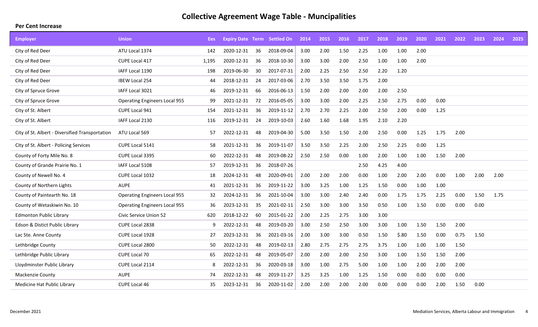| <b>Employer</b>                                 | <b>Union</b>                         | Ees   | <b>Expiry Date Term Settled On</b> |    |            | 2014 | 2015 | 2016 | 2017 | 2018 | 2019  | 2020 | 2021 | 2022 | 2023 | 2024 | 2025 |
|-------------------------------------------------|--------------------------------------|-------|------------------------------------|----|------------|------|------|------|------|------|-------|------|------|------|------|------|------|
| City of Red Deer                                | ATU Local 1374                       | 142   | 2020-12-31                         | 36 | 2018-09-04 | 3.00 | 2.00 | 1.50 | 2.25 | 1.00 | 1.00  | 2.00 |      |      |      |      |      |
| City of Red Deer                                | CUPE Local 417                       | 1,195 | 2020-12-31                         | 36 | 2018-10-30 | 3.00 | 3.00 | 2.00 | 2.50 | 1.00 | 1.00  | 2.00 |      |      |      |      |      |
| City of Red Deer                                | IAFF Local 1190                      | 198   | 2019-06-30                         | 30 | 2017-07-31 | 2.00 | 2.25 | 2.50 | 2.50 | 2.20 | 1.20  |      |      |      |      |      |      |
| City of Red Deer                                | IBEW Local 254                       | 44    | 2018-12-31                         | 24 | 2017-03-06 | 2.70 | 3.50 | 3.50 | 1.75 | 2.00 |       |      |      |      |      |      |      |
| City of Spruce Grove                            | IAFF Local 3021                      | 46    | 2019-12-31                         | 66 | 2016-06-13 | 1.50 | 2.00 | 2.00 | 2.00 | 2.00 | 2.50  |      |      |      |      |      |      |
| City of Spruce Grove                            | <b>Operating Engineers Local 955</b> | 99    | 2021-12-31                         | 72 | 2016-05-05 | 3.00 | 3.00 | 2.00 | 2.25 | 2.50 | 2.75  | 0.00 | 0.00 |      |      |      |      |
| City of St. Albert                              | CUPE Local 941                       | 154   | 2021-12-31                         | 36 | 2019-11-12 | 2.70 | 2.70 | 2.25 | 2.00 | 2.50 | 2.00  | 0.00 | 1.25 |      |      |      |      |
| City of St. Albert                              | IAFF Local 2130                      | 116   | 2019-12-31                         | 24 | 2019-10-03 | 2.60 | 1.60 | 1.68 | 1.95 | 2.10 | 2.20  |      |      |      |      |      |      |
| City of St. Albert - Diversified Transportation | ATU Local 569                        | 57    | 2022-12-31                         | 48 | 2019-04-30 | 5.00 | 3.50 | 1.50 | 2.00 | 2.50 | 0.00  | 1.25 | 1.75 | 2.00 |      |      |      |
| City of St. Albert - Policing Services          | CUPE Local 5141                      | 58    | 2021-12-31                         | 36 | 2019-11-07 | 3.50 | 3.50 | 2.25 | 2.00 | 2.50 | 2.25  | 0.00 | 1.25 |      |      |      |      |
| County of Forty Mile No. 8                      | CUPE Local 3395                      | 60    | 2022-12-31                         | 48 | 2019-08-22 | 2.50 | 2.50 | 0.00 | 1.00 | 2.00 | 1.00  | 1.00 | 1.50 | 2.00 |      |      |      |
| County of Grande Prairie No. 1                  | IAFF Local 5108                      | 57    | 2019-12-31                         | 36 | 2018-07-26 |      |      |      | 2.50 | 4.25 | 4.00  |      |      |      |      |      |      |
| County of Newell No. 4                          | CUPE Local 1032                      | 18    | 2024-12-31                         | 48 | 2020-09-01 | 2.00 | 2.00 | 2.00 | 0.00 | 1.00 | 2.00  | 2.00 | 0.00 | 1.00 | 2.00 | 2.00 |      |
| County of Northern Lights                       | <b>AUPE</b>                          | 41    | 2021-12-31                         | 36 | 2019-11-22 | 3.00 | 3.25 | 1.00 | 1.25 | 1.50 | 0.00  | 1.00 | 1.00 |      |      |      |      |
| County of Paintearth No. 18                     | <b>Operating Engineers Local 955</b> | 32    | 2024-12-31                         | 36 | 2021-10-04 | 3.00 | 3.00 | 2.40 | 2.40 | 0.00 | 1.75  | 1.75 | 2.25 | 0.00 | 1.50 | 1.75 |      |
| County of Wetaskiwin No. 10                     | <b>Operating Engineers Local 955</b> | 36    | 2023-12-31                         | 35 | 2021-02-11 | 2.50 | 3.00 | 3.00 | 3.50 | 0.50 | 1.00  | 1.50 | 0.00 | 0.00 | 0.00 |      |      |
| <b>Edmonton Public Library</b>                  | Civic Service Union 52               | 620   | 2018-12-22                         | 60 | 2015-01-22 | 2.00 | 2.25 | 2.75 | 3.00 | 3.00 |       |      |      |      |      |      |      |
| Edson & Distict Public Library                  | CUPE Local 2838                      | 9     | 2022-12-31                         | 48 | 2019-03-20 | 3.00 | 2.50 | 2.50 | 3.00 | 3.00 | 1.00  | 1.50 | 1.50 | 2.00 |      |      |      |
| Lac Ste. Anne County                            | CUPE Local 1928                      | 27    | 2023-12-31                         | 36 | 2021-03-16 | 2.00 | 3.00 | 3.00 | 0.50 | 1.50 | \$.80 | 1.50 | 0.00 | 0.75 | 1.50 |      |      |
| Lethbridge County                               | CUPE Local 2800                      | 50    | 2022-12-31                         | 48 | 2019-02-13 | 2.80 | 2.75 | 2.75 | 2.75 | 3.75 | 1.00  | 1.00 | 1.00 | 1.50 |      |      |      |
| Lethbridge Public Library                       | CUPE Local 70                        | 65    | 2022-12-31                         | 48 | 2019-05-07 | 2.00 | 2.00 | 2.00 | 2.50 | 3.00 | 1.00  | 1.50 | 1.50 | 2.00 |      |      |      |
| Lloydminster Public Library                     | CUPE Local 2114                      | 8     | 2022-12-31                         | 36 | 2020-03-18 | 3.00 | 1.00 | 2.75 | 5.00 | 1.00 | 1.00  | 2.00 | 2.00 | 2.00 |      |      |      |
| Mackenzie County                                | <b>AUPE</b>                          | 74    | 2022-12-31                         | 48 | 2019-11-27 | 3.25 | 3.25 | 1.00 | 1.25 | 1.50 | 0.00  | 0.00 | 0.00 | 0.00 |      |      |      |
| Medicine Hat Public Library                     | <b>CUPE Local 46</b>                 | 35    | 2023-12-31                         | 36 | 2020-11-02 | 2.00 | 2.00 | 2.00 | 2.00 | 0.00 | 0.00  | 0.00 | 2.00 | 1.50 | 0.00 |      |      |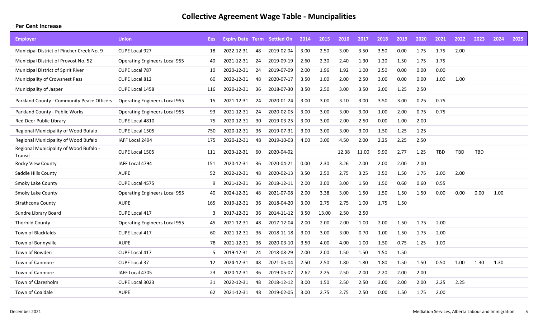| <b>Employer</b>                                   | <b>Union</b>                         | Ees: |            |    | <b>Expiry Date Term Settled On</b> | 2014 | 2015  | 2016  | 2017  | 2018 | 2019 | 2020 | 2021       | 2022 | 2023 | 2024 | 2025 |
|---------------------------------------------------|--------------------------------------|------|------------|----|------------------------------------|------|-------|-------|-------|------|------|------|------------|------|------|------|------|
| Municipal District of Pincher Creek No. 9         | CUPE Local 927                       | 18   | 2022-12-31 | 48 | 2019-02-04                         | 3.00 | 2.50  | 3.00  | 3.50  | 3.50 | 0.00 | 1.75 | 1.75       | 2.00 |      |      |      |
| Municipal District of Provost No. 52              | <b>Operating Engineers Local 955</b> | 40   | 2021-12-31 | 24 | 2019-09-19                         | 2.60 | 2.30  | 2.40  | 1.30  | 1.20 | 1.50 | 1.75 | 1.75       |      |      |      |      |
| Municipal District of Spirit River                | <b>CUPE Local 787</b>                | 10   | 2020-12-31 | 24 | 2019-07-09                         | 2.00 | 1.96  | 1.92  | 1.00  | 2.50 | 0.00 | 0.00 | 0.00       |      |      |      |      |
| Municipality of Crowsnest Pass                    | CUPE Local 812                       | 60   | 2022-12-31 | 48 | 2020-07-17                         | 3.50 | 1.00  | 2.00  | 2.50  | 3.00 | 0.00 | 0.00 | 1.00       | 1.00 |      |      |      |
| Municipality of Jasper                            | CUPE Local 1458                      | 116  | 2020-12-31 | 36 | 2018-07-30                         | 3.50 | 2.50  | 3.00  | 3.50  | 2.00 | 1.25 | 2.50 |            |      |      |      |      |
| Parkland County - Community Peace Officers        | <b>Operating Engineers Local 955</b> | 15   | 2021-12-31 | 24 | 2020-01-24                         | 3.00 | 3.00  | 3.10  | 3.00  | 3.50 | 3.00 | 0.25 | 0.75       |      |      |      |      |
| Parkland County - Public Works                    | <b>Operating Engineers Local 955</b> | 93   | 2021-12-31 | 24 | 2020-02-05                         | 3.00 | 3.00  | 3.00  | 3.00  | 1.00 | 2.00 | 0.75 | 0.75       |      |      |      |      |
| Red Deer Public Library                           | <b>CUPE Local 4810</b>               | 75   | 2020-12-31 | 30 | 2019-03-25                         | 3.00 | 3.00  | 2.00  | 2.50  | 0.00 | 1.00 | 2.00 |            |      |      |      |      |
| Regional Municipality of Wood Bufalo              | CUPE Local 1505                      | 750  | 2020-12-31 | 36 | 2019-07-31                         | 3.00 | 3.00  | 3.00  | 3.00  | 1.50 | 1.25 | 1.25 |            |      |      |      |      |
| Regional Municipality of Wood Bufalo              | IAFF Local 2494                      | 175  | 2020-12-31 | 48 | 2019-10-03                         | 4.00 | 3.00  | 4.50  | 2.00  | 2.25 | 2.25 | 2.50 |            |      |      |      |      |
| Regional Municipality of Wood Bufalo -<br>Transit | CUPE Local 1505                      | 111  | 2023-12-31 | 60 | 2020-04-02                         |      |       | 12.38 | 11.00 | 9.90 | 2.77 | 1.25 | <b>TBD</b> | TBD  | TBD  |      |      |
| Rocky View County                                 | IAFF Local 4794                      | 151  | 2020-12-31 | 36 | 2020-04-21                         | 0.00 | 2.30  | 3.26  | 2.00  | 2.00 | 2.00 | 2.00 |            |      |      |      |      |
| Saddle Hills County                               | <b>AUPE</b>                          | 52   | 2022-12-31 | 48 | 2020-02-13                         | 3.50 | 2.50  | 2.75  | 3.25  | 3.50 | 1.50 | 1.75 | 2.00       | 2.00 |      |      |      |
| <b>Smoky Lake County</b>                          | <b>CUPE Local 4575</b>               | 9    | 2021-12-31 | 36 | 2018-12-11                         | 2.00 | 3.00  | 3.00  | 1.50  | 1.50 | 0.60 | 0.60 | 0.55       |      |      |      |      |
| <b>Smoky Lake County</b>                          | <b>Operating Engineers Local 955</b> | 40   | 2024-12-31 | 48 | 2021-07-08                         | 2.00 | 3.38  | 3.00  | 1.50  | 1.50 | 1.50 | 1.50 | 0.00       | 0.00 | 0.00 | 1.00 |      |
| Strathcona County                                 | <b>AUPE</b>                          | 165  | 2019-12-31 | 36 | 2018-04-20                         | 3.00 | 2.75  | 2.75  | 1.00  | 1.75 | 1.50 |      |            |      |      |      |      |
| Sundre Library Board                              | CUPE Local 417                       | 3    | 2017-12-31 | 36 | 2014-11-12                         | 3.50 | 13.00 | 2.50  | 2.50  |      |      |      |            |      |      |      |      |
| <b>Thorhild County</b>                            | <b>Operating Engineers Local 955</b> | 45   | 2021-12-31 | 48 | 2017-12-04                         | 2.00 | 2.00  | 2.00  | 1.00  | 2.00 | 1.50 | 1.75 | 2.00       |      |      |      |      |
| <b>Town of Blackfalds</b>                         | CUPE Local 417                       | 60   | 2021-12-31 | 36 | 2018-11-18                         | 3.00 | 3.00  | 3.00  | 0.70  | 1.00 | 1.50 | 1.75 | 2.00       |      |      |      |      |
| Town of Bonnyville                                | <b>AUPE</b>                          | 78   | 2021-12-31 | 36 | 2020-03-10                         | 3.50 | 4.00  | 4.00  | 1.00  | 1.50 | 0.75 | 1.25 | 1.00       |      |      |      |      |
| Town of Bowden                                    | CUPE Local 417                       | -5   | 2019-12-31 | 24 | 2018-08-29                         | 2.00 | 2.00  | 1.50  | 1.50  | 1.50 | 1.50 |      |            |      |      |      |      |
| Town of Canmore                                   | <b>CUPE Local 37</b>                 | 12   | 2024-12-31 | 48 | 2021-05-04                         | 2.50 | 2.50  | 1.80  | 1.80  | 1.80 | 1.50 | 1.50 | 0.50       | 1.00 | 1.30 | 1.30 |      |
| Town of Canmore                                   | IAFF Local 4705                      | 23   | 2020-12-31 | 36 | 2019-05-07                         | 2.62 | 2.25  | 2.50  | 2.00  | 2.20 | 2.00 | 2.00 |            |      |      |      |      |
| Town of Claresholm                                | CUPE Local 3023                      | 31   | 2022-12-31 | 48 | 2018-12-12                         | 3.00 | 1.50  | 2.50  | 2.50  | 3.00 | 2.00 | 2.00 | 2.25       | 2.25 |      |      |      |
| Town of Coaldale                                  | <b>AUPE</b>                          | 62   | 2021-12-31 | 48 | 2019-02-05                         | 3.00 | 2.75  | 2.75  | 2.50  | 0.00 | 1.50 | 1.75 | 2.00       |      |      |      |      |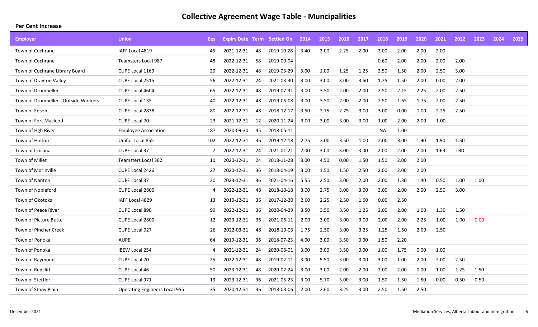| <b>Employer</b>                      | <b>Union</b>                         | Ees | <b>Expiry Date Term Settled On</b> |     |            | 2014 | 2015 | 2016 | 2017 | 2018      | 2019 | 2020 | 2021 | 2022 | 2023 | 2024 | 2025 |
|--------------------------------------|--------------------------------------|-----|------------------------------------|-----|------------|------|------|------|------|-----------|------|------|------|------|------|------|------|
| Town of Cochrane                     | IAFF Local 4819                      | 45  | 2021-12-31                         | 48  | 2019-10-28 | 3.40 | 2.00 | 2.25 | 2.00 | 2.00      | 2.00 | 2.00 | 2.00 |      |      |      |      |
| Town of Cochrane                     | <b>Teamsters Local 987</b>           | 48  | 2022-12-31                         | 58  | 2019-09-04 |      |      |      |      | 0.60      | 2.00 | 2.00 | 2.00 | 2.00 |      |      |      |
| Town of Cochrane Library Board       | CUPE Local 1169                      | 20  | 2022-12-31                         | 48  | 2019-03-29 | 3.00 | 1.00 | 1.25 | 1.25 | 2.50      | 1.50 | 2.00 | 2.50 | 3.00 |      |      |      |
| Town of Drayton Valley               | CUPE Local 2515                      | 56  | 2022-12-31                         | 24  | 2021-03-30 | 3.00 | 3.00 | 3.00 | 3.50 | 1.25      | 1.50 | 2.00 | 0.00 | 2.00 |      |      |      |
| Town of Drumheller                   | CUPE Local 4604                      | 65  | 2022-12-31                         | 48  | 2019-07-31 | 3.00 | 3.50 | 2.00 | 2.00 | 2.50      | 2.15 | 2.25 | 2.00 | 2.50 |      |      |      |
| Town of Drumheller - Outside Workers | CUPE Local 135                       | 40  | 2022-12-31                         | 48  | 2019-05-08 | 3.00 | 3.50 | 2.00 | 2.00 | 2.50      | 1.65 | 1.75 | 2.00 | 2.50 |      |      |      |
| Town of Edson                        | CUPE Local 2838                      | 80  | 2022-12-31                         | 48  | 2018-12-17 | 3.50 | 2.75 | 2.75 | 3.00 | 3.00      | 0.00 | 1.00 | 2.25 | 2.50 |      |      |      |
| Town of Fort Macleod                 | <b>CUPE Local 70</b>                 | 23  | 2021-12-31                         | 12  | 2020-11-24 | 3.00 | 3.00 | 3.00 | 3.00 | 1.00      | 2.00 | 2.00 | 1.00 |      |      |      |      |
| Town of Hgh River                    | <b>Employee Association</b>          | 187 | 2020-09-30                         | 45  | 2018-05-11 |      |      |      |      | <b>NA</b> | 1.00 |      |      |      |      |      |      |
| Town of Hinton                       | Unifor Local 855                     | 102 | 2022-12-31                         | 36  | 2019-12-18 | 2.75 | 3.00 | 3.50 | 1.00 | 2.00      | 3.00 | 1.90 | 1.90 | 1.50 |      |      |      |
| Town of Irricana                     | <b>CUPE Local 37</b>                 | 7   | 2022-12-31                         | 24  | 2021-01-21 | 2.00 | 3.00 | 3.00 | 3.00 | 2.00      | 2.00 | 2.00 | 1.63 | TBD  |      |      |      |
| <b>Town of Millet</b>                | <b>Teamsters Local 362</b>           | 10  | 2020-12-31                         | 24  | 2018-11-28 | 3.00 | 4.50 | 0.00 | 1.50 | 1.50      | 2.00 | 2.00 |      |      |      |      |      |
| Town of Morinville                   | CUPE Local 2426                      | 27  | 2020-12-31                         | -36 | 2018-04-19 | 3.00 | 1.50 | 1.50 | 2.50 | 2.00      | 2.00 | 2.00 |      |      |      |      |      |
| <b>Town of Nanton</b>                | CUPE Local 37                        | 20  | 2023-12-31                         | 36  | 2021-04-16 | 5.55 | 2.50 | 3.00 | 2.00 | 2.00      | 1.30 | 1.40 | 0.50 | 1.00 | 1.00 |      |      |
| Town of Nobleford                    | CUPE Local 2800                      | 4   | 2022-12-31                         | 48  | 2018-10-18 | 3.00 | 2.75 | 3.00 | 3.00 | 3.00      | 2.00 | 2.00 | 2.50 | 3.00 |      |      |      |
| Town of Okotoks                      | IAFF Local 4829                      | 13  | 2019-12-31                         | -36 | 2017-12-20 | 2.60 | 2.25 | 2.50 | 1.60 | 0.00      | 2.50 |      |      |      |      |      |      |
| Town of Peace River                  | CUPE Local 898                       | 99  | 2022-12-31                         | -36 | 2020-04-29 | 3.50 | 3.50 | 3.50 | 1.25 | 2.00      | 2.00 | 1.00 | 1.30 | 1.50 |      |      |      |
| Town of Picture Butte                | CUPE Local 2800                      | 12  | 2023-12-31                         | 36  | 2021-06-11 | 2.00 | 3.00 | 3.00 | 3.00 | 2.00      | 2.00 | 2.25 | 1.00 | 1.00 | 0.00 |      |      |
| Town of Pincher Creek                | CUPE Local 927                       | 26  | 2022-03-31                         | 48  | 2018-10-03 | 1.75 | 2.50 | 3.00 | 3.25 | 1.25      | 1.50 | 2.00 | 2.50 |      |      |      |      |
| Town of Ponoka                       | <b>AUPE</b>                          | 64  | 2019-12-31                         | 36  | 2018-07-23 | 4.00 | 3.00 | 3.50 | 0.00 | 1.50      | 2.20 |      |      |      |      |      |      |
| Town of Ponoka                       | <b>IBEW Local 254</b>                | 4   | 2021-12-31                         | 24  | 2020-06-01 | 3.00 | 3.00 | 3.50 | 0.00 | 1.00      | 1.75 | 0.00 | 1.00 |      |      |      |      |
| Town of Raymond                      | CUPE Local 70                        | 25  | 2022-12-31                         | 48  | 2019-02-11 | 3.00 | 5.50 | 3.00 | 3.00 | 3.00      | 1.00 | 2.00 | 2.00 | 2.50 |      |      |      |
| Town of Redcliff                     | CUPE Local 46                        | 50  | 2023-12-31                         | 48  | 2020-02-24 | 3.00 | 3.00 | 2.00 | 2.00 | 2.00      | 2.00 | 0.00 | 1.00 | 1.25 | 1.50 |      |      |
| Town of Stettler                     | CUPE Local 971                       | 19  | 2023-12-31                         | -36 | 2021-05-23 | 3.00 | 5.70 | 3.00 | 3.00 | 1.50      | 1.50 | 1.50 | 0.00 | 0.50 | 0.50 |      |      |
| Town of Stony Plain                  | <b>Operating Engineers Local 955</b> | 35  | 2020-12-31                         | -36 | 2018-03-06 | 2.00 | 2.60 | 3.25 | 3.00 | 2.50      | 1.50 | 2.50 |      |      |      |      |      |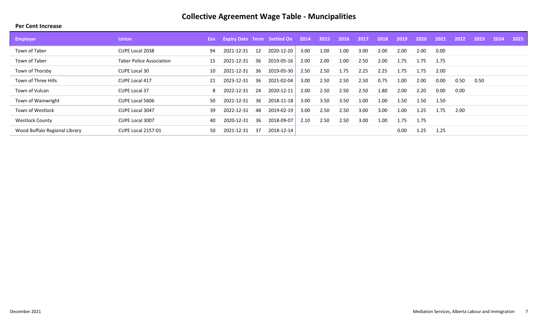| <b>Employer</b>               | <b>Union</b>                    | Ees : | <b>Expiry Date Term Settled On</b> |      |            | 2014 | 2015 | 2016 | -2017 | 2018 | 2019 | 2020 | 2021 | 2022 | 2023 | 2024 | 2025 |
|-------------------------------|---------------------------------|-------|------------------------------------|------|------------|------|------|------|-------|------|------|------|------|------|------|------|------|
| Town of Taber                 | CUPE Local 2038                 | 94    | 2021-12-31                         | 12   | 2020-12-20 | 3.00 | 1.00 | 1.00 | 3.00  | 2.00 | 2.00 | 2.00 | 0.00 |      |      |      |      |
| Town of Taber                 | <b>Taber Police Association</b> | 15    | 2021-12-31                         | -36  | 2019-05-16 | 2.00 | 2.00 | 1.00 | 2.50  | 2.00 | 1.75 | 1.75 | 1.75 |      |      |      |      |
| Town of Thorsby               | <b>CUPE Local 30</b>            | 10    | 2021-12-31                         | -36  | 2019-05-30 | 2.50 | 2.50 | 1.75 | 2.25  | 2.25 | 1.75 | 1.75 | 2.00 |      |      |      |      |
| Town of Three Hills           | CUPE Local 417                  | 21    | 2023-12-31                         | -36- | 2021-02-04 | 3.00 | 2.50 | 2.50 | 2.50  | 0.75 | 1.00 | 2.00 | 0.00 | 0.50 | 0.50 |      |      |
| Town of Vulcan                | <b>CUPE Local 37</b>            | 8     | 2022-12-31                         | - 24 | 2020-12-11 | 2.00 | 2.50 | 2.50 | 2.50  | 1.80 | 2.00 | 2.20 | 0.00 | 0.00 |      |      |      |
| Town of Wainwright            | <b>CUPE Local 5606</b>          | 50    | 2021-12-31                         | -36  | 2018-11-18 | 3.00 | 3.50 | 3.50 | 1.00  | 1.00 | 1.50 | 1.50 | 1.50 |      |      |      |      |
| Town of Westlock              | CUPE Local 3047                 | 39    | 2022-12-31                         | 48   | 2019-02-19 | 3.00 | 2.50 | 2.50 | 3.00  | 3.00 | 1.00 | 1.25 | 1.75 | 2.00 |      |      |      |
| <b>Westlock County</b>        | CUPE Local 3007                 | 40    | 2020-12-31                         | -36  | 2018-09-07 | 2.10 | 2.50 | 2.50 | 3.00  | 1.00 | 1.75 | 1.75 |      |      |      |      |      |
| Wood Buffalo Regional Library | <b>CUPE Local 2157-01</b>       | 50.   | 2021-12-31                         | -37  | 2018-12-14 |      |      |      |       |      | 0.00 | 1.25 | 1.25 |      |      |      |      |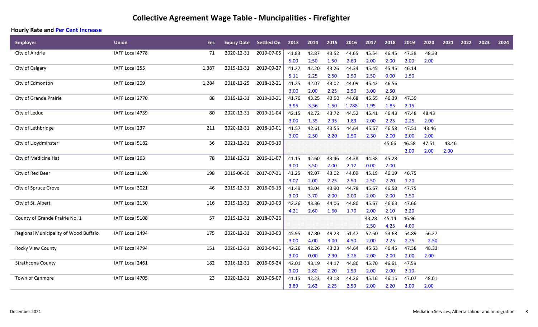### **Collective Agreement Wage Table - Muncipalities - Firefighter**

| <b>Employer</b>                       | <b>Union</b>    | <b>Ees</b> | <b>Expiry Date</b> | <b>Settled On</b> | 2013  | 2014  | 2015  | 2016  | 2017  | 2018  | 2019  | 2020  | 2021  | 2022 | 2023 | 2024 |
|---------------------------------------|-----------------|------------|--------------------|-------------------|-------|-------|-------|-------|-------|-------|-------|-------|-------|------|------|------|
| City of Airdrie                       | IAFF Local 4778 | 71         | 2020-12-31         | 2019-07-05        | 41.83 | 42.87 | 43.52 | 44.65 | 45.54 | 46.45 | 47.38 | 48.33 |       |      |      |      |
|                                       |                 |            |                    |                   | 5.00  | 2.50  | 1.50  | 2.60  | 2.00  | 2.00  | 2.00  | 2.00  |       |      |      |      |
| City of Calgary                       | IAFF Local 255  | 1,387      | 2019-12-31         | 2019-09-27        | 41.27 | 42.20 | 43.26 | 44.34 | 45.45 | 45.45 | 46.14 |       |       |      |      |      |
|                                       |                 |            |                    |                   | 5.11  | 2.25  | 2.50  | 2.50  | 2.50  | 0.00  | 1.50  |       |       |      |      |      |
| City of Edmonton                      | IAFF Local 209  | 1,284      | 2018-12-25         | 2018-12-21        | 41.25 | 42.07 | 43.02 | 44.09 | 45.42 | 46.56 |       |       |       |      |      |      |
|                                       |                 |            |                    |                   | 3.00  | 2.00  | 2.25  | 2.50  | 3.00  | 2.50  |       |       |       |      |      |      |
| City of Grande Prairie                | IAFF Local 2770 | 88         | 2019-12-31         | 2019-10-21        | 41.76 | 43.25 | 43.90 | 44.68 | 45.55 | 46.39 | 47.39 |       |       |      |      |      |
|                                       |                 |            |                    |                   | 3.95  | 3.56  | 1.50  | 1.788 | 1.95  | 1.85  | 2.15  |       |       |      |      |      |
| City of Leduc                         | IAFF Local 4739 | 80         | 2020-12-31         | 2019-11-04        | 42.15 | 42.72 | 43.72 | 44.52 | 45.41 | 46.43 | 47.48 | 48.43 |       |      |      |      |
|                                       |                 |            |                    |                   | 3.00  | 1.35  | 2.35  | 1.83  | 2.00  | 2.25  | 2.25  | 2.00  |       |      |      |      |
| City of Lethbridge                    | IAFF Local 237  | 211        | 2020-12-31         | 2018-10-01        | 41.57 | 42.61 | 43.55 | 44.64 | 45.67 | 46.58 | 47.51 | 48.46 |       |      |      |      |
|                                       |                 |            |                    |                   | 3.00  | 2.50  | 2.20  | 2.50  | 2.30  | 2.00  | 2.00  | 2.00  |       |      |      |      |
| City of Lloydminster                  | IAFF Local 5182 | 36         | 2021-12-31         | 2019-06-10        |       |       |       |       |       | 45.66 | 46.58 | 47.51 | 48.46 |      |      |      |
|                                       |                 |            |                    |                   |       |       |       |       |       |       | 2.00  | 2.00  | 2.00  |      |      |      |
| City of Medicine Hat                  | IAFF Local 263  | 78         | 2018-12-31         | 2016-11-07        | 41.15 | 42.60 | 43.46 | 44.38 | 44.38 | 45.28 |       |       |       |      |      |      |
|                                       |                 |            |                    |                   | 3.00  | 3.50  | 2.00  | 2.12  | 0.00  | 2.00  |       |       |       |      |      |      |
| City of Red Deer                      | IAFF Local 1190 | 198        | 2019-06-30         | 2017-07-31        | 41.25 | 42.07 | 43.02 | 44.09 | 45.19 | 46.19 | 46.75 |       |       |      |      |      |
|                                       |                 |            |                    |                   | 3.07  | 2.00  | 2.25  | 2.50  | 2.50  | 2.20  | 1.20  |       |       |      |      |      |
| City of Spruce Grove                  | IAFF Local 3021 | 46         | 2019-12-31         | 2016-06-13        | 41.49 | 43.04 | 43.90 | 44.78 | 45.67 | 46.58 | 47.75 |       |       |      |      |      |
|                                       |                 |            |                    |                   | 3.00  | 3.70  | 2.00  | 2.00  | 2.00  | 2.00  | 2.50  |       |       |      |      |      |
| City of St. Albert                    | IAFF Local 2130 | 116        | 2019-12-31         | 2019-10-03        | 42.26 | 43.36 | 44.06 | 44.80 | 45.67 | 46.63 | 47.66 |       |       |      |      |      |
|                                       |                 |            |                    |                   | 4.21  | 2.60  | 1.60  | 1.70  | 2.00  | 2.10  | 2.20  |       |       |      |      |      |
| County of Grande Prairie No. 1        | IAFF Local 5108 | 57         | 2019-12-31         | 2018-07-26        |       |       |       |       | 43.28 | 45.14 | 46.96 |       |       |      |      |      |
|                                       |                 |            |                    |                   |       |       |       |       | 2.50  | 4.25  | 4.00  |       |       |      |      |      |
| Regional Municipality of Wood Buffalo | IAFF Local 2494 | 175        | 2020-12-31         | 2019-10-03        | 45.95 | 47.80 | 49.23 | 51.47 | 52.50 | 53.68 | 54.89 | 56.27 |       |      |      |      |
|                                       |                 |            |                    |                   | 3.00  | 4.00  | 3.00  | 4.50  | 2.00  | 2.25  | 2.25  | 2.50  |       |      |      |      |
| Rocky View County                     | IAFF Local 4794 | 151        | 2020-12-31         | 2020-04-21        | 42.26 | 42.26 | 43.23 | 44.64 | 45.53 | 46.45 | 47.38 | 48.33 |       |      |      |      |
|                                       |                 |            |                    |                   | 3.00  | 0.00  | 2.30  | 3.26  | 2.00  | 2.00  | 2.00  | 2.00  |       |      |      |      |
| Strathcona County                     | IAFF Local 2461 | 182        | 2016-12-31         | 2016-05-24        | 42.01 | 43.19 | 44.17 | 44.80 | 45.70 | 46.61 | 47.59 |       |       |      |      |      |
|                                       |                 |            |                    |                   | 3.00  | 2.80  | 2.20  | 1.50  | 2.00  | 2.00  | 2.10  |       |       |      |      |      |
| Town of Canmore                       | IAFF Local 4705 | 23         | 2020-12-31         | 2019-05-07        | 41.15 | 42.23 | 43.18 | 44.26 | 45.16 | 46.15 | 47.07 | 48.01 |       |      |      |      |
|                                       |                 |            |                    |                   | 3.89  | 2.62  | 2.25  | 2.50  | 2.00  | 2.20  | 2.00  | 2.00  |       |      |      |      |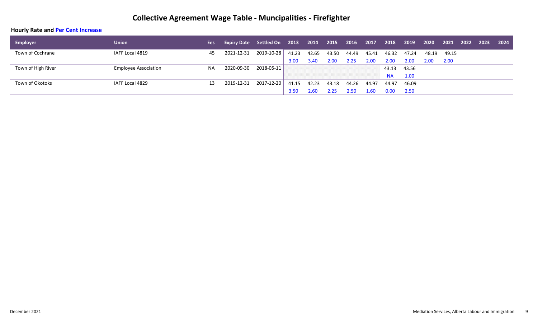### **Collective Agreement Wage Table - Muncipalities - Firefighter**

| <b>Employer</b>    | <b>Union</b>                | Ees       | <b>Expiry Date</b> Settled On 2013 |            |       | 2014  | 2015  | 2016  | 2017  | 2018      | 2019  | 2020  | 2021  | 2022 | 2023 | 2024 |
|--------------------|-----------------------------|-----------|------------------------------------|------------|-------|-------|-------|-------|-------|-----------|-------|-------|-------|------|------|------|
| Town of Cochrane   | IAFF Local 4819             | 45        | 2021-12-31                         | 2019-10-28 | 41.23 | 42.65 | 43.50 | 44.49 | 45.41 | 46.32     | 47.24 | 48.19 | 49.15 |      |      |      |
|                    |                             |           |                                    |            | 3.00  | 3.40  | 2.00  | 2.25  | 2.00  | 2.00      | 2.00  | 2.00  | 2.00  |      |      |      |
| Town of High River | <b>Employee Association</b> | <b>NA</b> | 2020-09-30                         | 2018-05-11 |       |       |       |       |       | 43.13     | 43.56 |       |       |      |      |      |
|                    |                             |           |                                    |            |       |       |       |       |       | <b>NA</b> | 1.00  |       |       |      |      |      |
| Town of Okotoks    | IAFF Local 4829             | 13        | 2019-12-31                         | 2017-12-20 | 41.15 | 42.23 | 43.18 | 44.26 | 44.97 | 44.97     | 46.09 |       |       |      |      |      |
|                    |                             |           |                                    |            | 3.50  | 2.60  | 2.25  | 2.50  | 1.60  | 0.00      | 2.50  |       |       |      |      |      |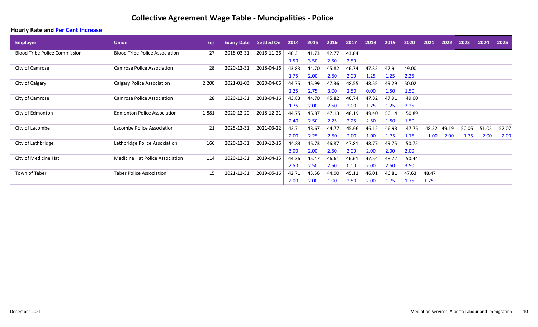| <b>Employer</b>                      | <b>Union</b>                          | Ees   | <b>Expiry Date</b> | Settled On | 2014  | 2015  | 2016  | 2017  | 2018  | 2019  | 2020  | 2021  | 2022  | 2023  | 2024  | 2025  |
|--------------------------------------|---------------------------------------|-------|--------------------|------------|-------|-------|-------|-------|-------|-------|-------|-------|-------|-------|-------|-------|
| <b>Blood Tribe Police Commission</b> | <b>Blood Tribe Police Association</b> | 27    | 2018-03-31         | 2016-11-26 | 40.31 | 41.73 | 42.77 | 43.84 |       |       |       |       |       |       |       |       |
|                                      |                                       |       |                    |            | 1.50  | 3.50  | 2.50  | 2.50  |       |       |       |       |       |       |       |       |
| City of Camrose                      | <b>Camrose Police Association</b>     | 28    | 2020-12-31         | 2018-04-16 | 43.83 | 44.70 | 45.82 | 46.74 | 47.32 | 47.91 | 49.00 |       |       |       |       |       |
|                                      |                                       |       |                    |            | 1.75  | 2.00  | 2.50  | 2.00  | 1.25  | 1.25  | 2.25  |       |       |       |       |       |
| City of Calgary                      | <b>Calgary Police Association</b>     | 2,200 | 2021-01-03         | 2020-04-06 | 44.75 | 45.99 | 47.36 | 48.55 | 48.55 | 49.29 | 50.02 |       |       |       |       |       |
|                                      |                                       |       |                    |            | 2.25  | 2.75  | 3.00  | 2.50  | 0.00  | 1.50  | 1.50  |       |       |       |       |       |
| City of Camrose                      | <b>Camrose Police Association</b>     | 28    | 2020-12-31         | 2018-04-16 | 43.83 | 44.70 | 45.82 | 46.74 | 47.32 | 47.91 | 49.00 |       |       |       |       |       |
|                                      |                                       |       |                    |            | 1.75  | 2.00  | 2.50  | 2.00  | 1.25  | 1.25  | 2.25  |       |       |       |       |       |
| City of Edmonton                     | <b>Edmonton Police Association</b>    | 1,881 | 2020-12-20         | 2018-12-21 | 44.75 | 45.87 | 47.13 | 48.19 | 49.40 | 50.14 | 50.89 |       |       |       |       |       |
|                                      |                                       |       |                    |            | 2.40  | 2.50  | 2.75  | 2.25  | 2.50  | 1.50  | 1.50  |       |       |       |       |       |
| City of Lacombe                      | Lacombe Police Association            | 21    | 2025-12-31         | 2021-03-22 | 42.71 | 43.67 | 44.77 | 45.66 | 46.12 | 46.93 | 47.75 | 48.22 | 49.19 | 50.05 | 51.05 | 52.07 |
|                                      |                                       |       |                    |            | 2.00  | 2.25  | 2.50  | 2.00  | 1.00  | 1.75  | 1.75  | 1.00  | 2.00  | 1.75  | 2.00  | 2.00  |
| City of Lethbridge                   | Lethbridge Police Association         | 166   | 2020-12-31         | 2019-12-16 | 44.83 | 45.73 | 46.87 | 47.81 | 48.77 | 49.75 | 50.75 |       |       |       |       |       |
|                                      |                                       |       |                    |            | 3.00  | 2.00  | 2.50  | 2.00  | 2.00  | 2.00  | 2.00  |       |       |       |       |       |
| City of Medicine Hat                 | Medicine Hat Police Association       | 114   | 2020-12-31         | 2019-04-15 | 44.36 | 45.47 | 46.61 | 46.61 | 47.54 | 48.72 | 50.44 |       |       |       |       |       |
|                                      |                                       |       |                    |            | 2.50  | 2.50  | 2.50  | 0.00  | 2.00  | 2.50  | 3.50  |       |       |       |       |       |
| Town of Taber                        | <b>Taber Police Association</b>       | 15    | 2021-12-31         | 2019-05-16 | 42.71 | 43.56 | 44.00 | 45.11 | 46.01 | 46.81 | 47.63 | 48.47 |       |       |       |       |
|                                      |                                       |       |                    |            | 2.00  | 2.00  | 1.00  | 2.50  | 2.00  | 1.75  | 1.75  | 1.75  |       |       |       |       |